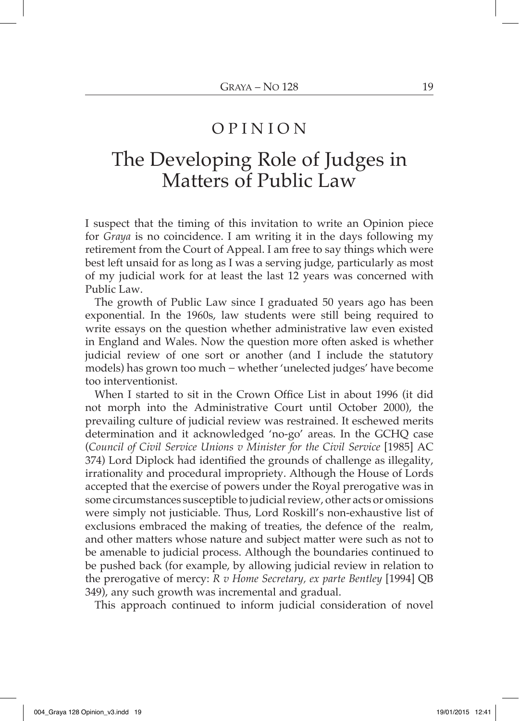## OPINION

## The Developing Role of Judges in Matters of Public Law

I suspect that the timing of this invitation to write an Opinion piece for *Graya* is no coincidence. I am writing it in the days following my retirement from the Court of Appeal. I am free to say things which were best left unsaid for as long as I was a serving judge, particularly as most of my judicial work for at least the last 12 years was concerned with Public Law.

The growth of Public Law since I graduated 50 years ago has been exponential. In the 1960s, law students were still being required to write essays on the question whether administrative law even existed in England and Wales. Now the question more often asked is whether judicial review of one sort or another (and I include the statutory models) has grown too much – whether 'unelected judges' have become too interventionist.

When I started to sit in the Crown Office List in about 1996 (it did not morph into the Administrative Court until October 2000), the prevailing culture of judicial review was restrained. It eschewed merits determination and it acknowledged 'no-go' areas. In the GCHQ case (Council of Civil Service Unions v Minister for the Civil Service [1985] AC 374) Lord Diplock had identified the grounds of challenge as illegality, irrationality and procedural impropriety. Although the House of Lords accepted that the exercise of powers under the Royal prerogative was in some circumstances susceptible to judicial review, other acts or omissions were simply not justiciable. Thus, Lord Roskill's non-exhaustive list of exclusions embraced the making of treaties, the defence of the realm, and other matters whose nature and subject matter were such as not to be amenable to judicial process. Although the boundaries continued to be pushed back (for example, by allowing judicial review in relation to the prerogative of mercy:  $R \nu$  Home Secretary, ex parte Bentley [1994] QB 349), any such growth was incremental and gradual.

This approach continued to inform judicial consideration of novel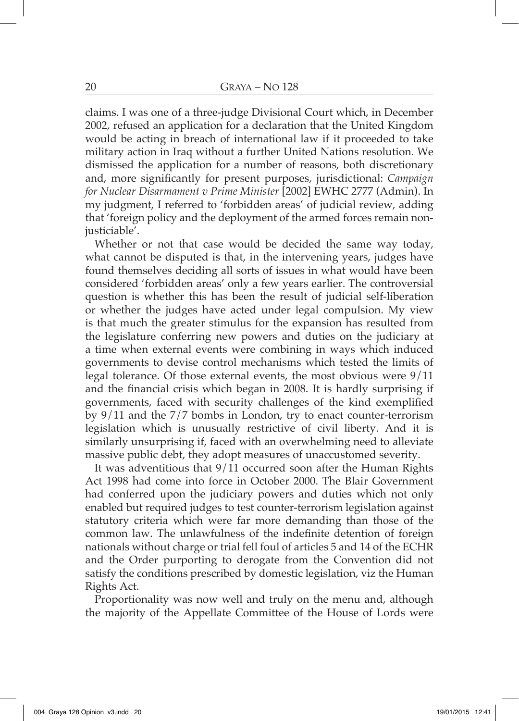claims. I was one of a three-judge Divisional Court which, in December 2002, refused an application for a declaration that the United Kingdom would be acting in breach of international law if it proceeded to take military action in Iraq without a further United Nations resolution. We dismissed the application for a number of reasons, both discretionary and, more significantly for present purposes, jurisdictional: Campaign for Nuclear Disarmament v Prime Minister [2002] EWHC 2777 (Admin). In my judgment, I referred to 'forbidden areas' of judicial review, adding that 'foreign policy and the deployment of the armed forces remain nonjusticiable'.

Whether or not that case would be decided the same way today, what cannot be disputed is that, in the intervening years, judges have found themselves deciding all sorts of issues in what would have been considered 'forbidden areas' only a few years earlier. The controversial question is whether this has been the result of judicial self-liberation or whether the judges have acted under legal compulsion. My view is that much the greater stimulus for the expansion has resulted from the legislature conferring new powers and duties on the judiciary at a time when external events were combining in ways which induced governments to devise control mechanisms which tested the limits of legal tolerance. Of those external events, the most obvious were 9/11 and the financial crisis which began in 2008. It is hardly surprising if governments, faced with security challenges of the kind exemplified by  $9/11$  and the  $7/7$  bombs in London, try to enact counter-terrorism legislation which is unusually restrictive of civil liberty. And it is similarly unsurprising if, faced with an overwhelming need to alleviate massive public debt, they adopt measures of unaccustomed severity.

It was adventitious that  $9/11$  occurred soon after the Human Rights Act 1998 had come into force in October 2000. The Blair Government had conferred upon the judiciary powers and duties which not only enabled but required judges to test counter-terrorism legislation against statutory criteria which were far more demanding than those of the common law. The unlawfulness of the indefinite detention of foreign nationals without charge or trial fell foul of articles 5 and 14 of the ECHR and the Order purporting to derogate from the Convention did not satisfy the conditions prescribed by domestic legislation, viz the Human Rights Act.

Proportionality was now well and truly on the menu and, although the majority of the Appellate Committee of the House of Lords were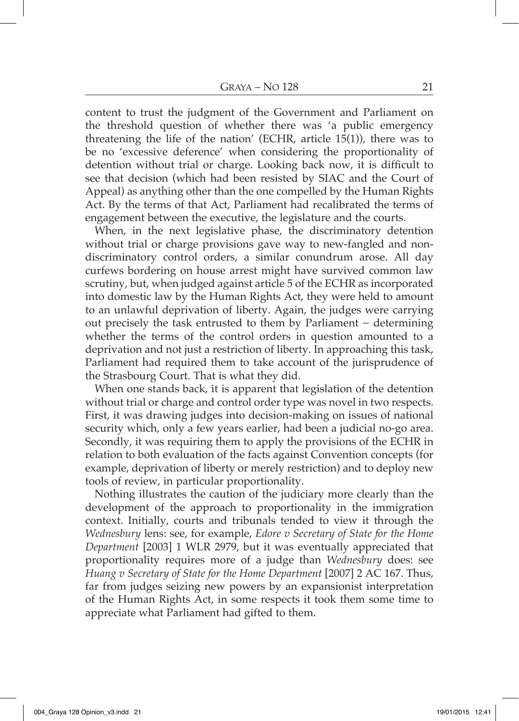content to trust the judgment of the Government and Parliament on the threshold question of whether there was 'a public emergency threatening the life of the nation' (ECHR, article 15(1)), there was to be no 'excessive deference' when considering the proportionality of detention without trial or charge. Looking back now, it is difficult to see that decision (which had been resisted by SIAC and the Court of Appeal) as anything other than the one compelled by the Human Rights Act. By the terms of that Act, Parliament had recalibrated the terms of engagement between the executive, the legislature and the courts.

When, in the next legislative phase, the discriminatory detention without trial or charge provisions gave way to new-fangled and nondiscriminatory control orders, a similar conundrum arose. All day curfews bordering on house arrest might have survived common law scrutiny, but, when judged against article 5 of the ECHR as incorporated into domestic law by the Human Rights Act, they were held to amount to an unlawful deprivation of liberty. Again, the judges were carrying out precisely the task entrusted to them by Parliament – determining whether the terms of the control orders in question amounted to a deprivation and not just a restriction of liberty. In approaching this task, Parliament had required them to take account of the jurisprudence of the Strasbourg Court. That is what they did.

When one stands back, it is apparent that legislation of the detention without trial or charge and control order type was novel in two respects. First, it was drawing judges into decision-making on issues of national security which, only a few years earlier, had been a judicial no-go area. Secondly, it was requiring them to apply the provisions of the ECHR in relation to both evaluation of the facts against Convention concepts (for example, deprivation of liberty or merely restriction) and to deploy new tools of review, in particular proportionality.

Nothing illustrates the caution of the judiciary more clearly than the development of the approach to proportionality in the immigration context. Initially, courts and tribunals tended to view it through the Wednesbury lens: see, for example, Edore v Secretary of State for the Home Department [2003] 1 WLR 2979, but it was eventually appreciated that proportionality requires more of a judge than Wednesbury does: see Huang v Secretary of State for the Home Department [2007] 2 AC 167. Thus, far from judges seizing new powers by an expansionist interpretation of the Human Rights Act, in some respects it took them some time to appreciate what Parliament had gifted to them.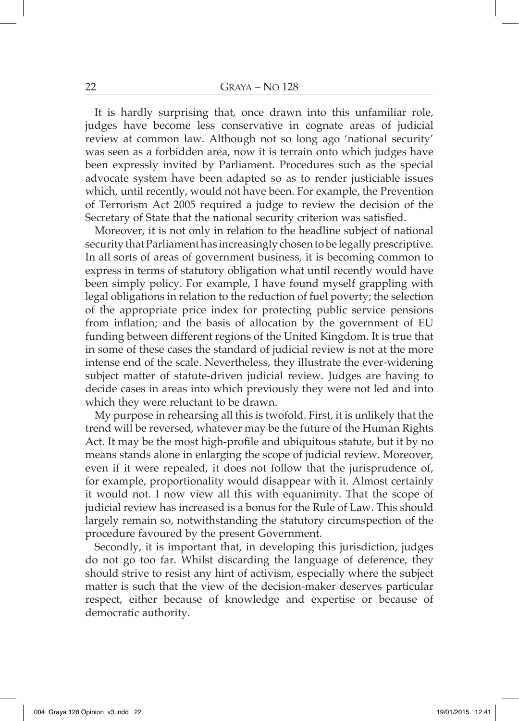It is hardly surprising that, once drawn into this unfamiliar role, judges have become less conservative in cognate areas of judicial review at common law. Although not so long ago 'national security' was seen as a forbidden area, now it is terrain onto which judges have been expressly invited by Parliament. Procedures such as the special advocate system have been adapted so as to render justiciable issues which, until recently, would not have been. For example, the Prevention of Terrorism Act 2005 required a judge to review the decision of the Secretary of State that the national security criterion was satisfied.

Moreover, it is not only in relation to the headline subject of national security that Parliament has increasingly chosen to be legally prescriptive. In all sorts of areas of government business, it is becoming common to express in terms of statutory obligation what until recently would have been simply policy. For example, I have found myself grappling with legal obligations in relation to the reduction of fuel poverty; the selection of the appropriate price index for protecting public service pensions from inflation; and the basis of allocation by the government of EU funding between different regions of the United Kingdom. It is true that in some of these cases the standard of judicial review is not at the more intense end of the scale. Nevertheless, they illustrate the ever-widening subject matter of statute-driven judicial review. Judges are having to decide cases in areas into which previously they were not led and into which they were reluctant to be drawn.

My purpose in rehearsing all this is twofold. First, it is unlikely that the trend will be reversed, whatever may be the future of the Human Rights Act. It may be the most high-profile and ubiquitous statute, but it by no means stands alone in enlarging the scope of judicial review. Moreover, even if it were repealed, it does not follow that the jurisprudence of, for example, proportionality would disappear with it. Almost certainly it would not. I now view all this with equanimity. That the scope of judicial review has increased is a bonus for the Rule of Law. This should largely remain so, notwithstanding the statutory circumspection of the procedure favoured by the present Government.

Secondly, it is important that, in developing this jurisdiction, judges do not go too far. Whilst discarding the language of deference, they should strive to resist any hint of activism, especially where the subject matter is such that the view of the decision-maker deserves particular respect, either because of knowledge and expertise or because of democratic authority.